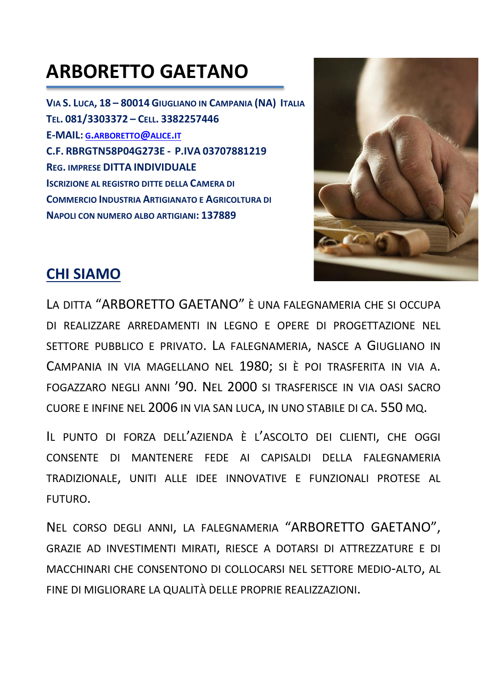# **ARBORETTO GAETANO**

VIA S. LUCA, 18 - 80014 GIUGLIANO IN CAMPANIA (NA) ITALIA TEL. 081/3303372 - CELL. 3382257446 **E-MAIL: G.ARBORETTO@ALICE.IT** C.F. RBRGTN58P04G273E - P.IVA 03707881219 **REG. IMPRESE DITTA INDIVIDUALE ISCRIZIONE AL REGISTRO DITTE DELLA CAMERA DI** COMMERCIO INDUSTRIA ARTIGIANATO E AGRICOLTURA DI NAPOLI CON NUMERO ALBO ARTIGIANI: 137889



### **CHI SIAMO**

LA DITTA "ARBORETTO GAETANO" È UNA FALEGNAMERIA CHE SI OCCUPA DI REALIZZARE ARREDAMENTI IN LEGNO E OPERE DI PROGETTAZIONE NEL SETTORE PUBBLICO E PRIVATO. LA FALEGNAMERIA, NASCE A GIUGLIANO IN CAMPANIA IN VIA MAGELLANO NEL 1980; SI È POI TRASFERITA IN VIA A. FOGAZZARO NEGLI ANNI '90. NEL 2000 SI TRASFERISCE IN VIA OASI SACRO CUORE E INFINE NEL 2006 IN VIA SAN LUCA, IN UNO STABILE DI CA. 550 MQ.

IL PUNTO DI FORZA DELL'AZIENDA È L'ASCOLTO DEI CLIENTI, CHE OGGI CONSENTE DI MANTENERE FEDE AI CAPISALDI DELLA FALEGNAMERIA TRADIZIONALE, UNITI ALLE IDEE INNOVATIVE E FUNZIONALI PROTESE AL FUTURO.

NEL CORSO DEGLI ANNI, LA FALEGNAMERIA "ARBORETTO GAETANO", GRAZIE AD INVESTIMENTI MIRATI, RIESCE A DOTARSI DI ATTREZZATURE E DI MACCHINARI CHE CONSENTONO DI COLLOCARSI NEL SETTORE MEDIO-ALTO, AL FINE DI MIGLIORARE LA QUALITÀ DELLE PROPRIE REALIZZAZIONI.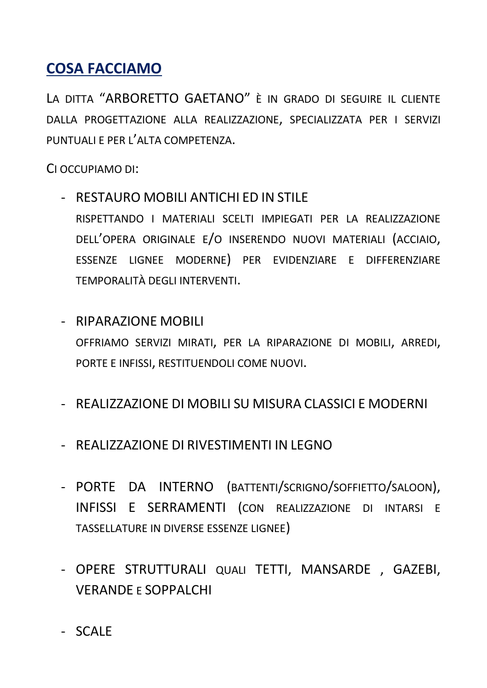## **COSA FACCIAMO**

LA DITTA "ARBORETTO GAFTANO" È IN GRADO DI SEGUIRE IL CLIENTE DALLA PROGETTAZIONE ALLA REALIZZAZIONE, SPECIALIZZATA PER I SERVIZI PUNTUALI E PER L'ALTA COMPETENZA.

CI OCCUPIAMO DI:

- RESTAURO MOBILI ANTICHI ED IN STILE RISPETTANDO I MATERIALI SCELTI IMPIEGATI PER LA REALIZZAZIONE DELL'OPERA ORIGINALE E/O INSERENDO NUOVI MATERIALI (ACCIAIO, ESSENZE LIGNEE MODERNE) PER EVIDENZIARE E DIFFERENZIARE TEMPORALITÀ DEGLI INTERVENTI.
- RIPARAZIONE MOBILI OFFRIAMO SERVIZI MIRATI, PER LA RIPARAZIONE DI MOBILI, ARREDI, PORTE E INFISSI, RESTITUENDOLI COME NUOVI.
- REALIZZAZIONE DI MOBILI SU MISURA CLASSICI E MODERNI
- REALIZZAZIONE DI RIVESTIMENTI IN LEGNO
- PORTE DA INTERNO (BATTENTI/SCRIGNO/SOFFIETTO/SALOON), INFISSI E SERRAMENTI (CON REALIZZAZIONE DI INTARSI E TASSELLATURE IN DIVERSE ESSENZE LIGNEE)
- OPERE STRUTTURALI QUALI TETTI, MANSARDE, GAZEBI, **VERANDE E SOPPALCHI**
- SCALE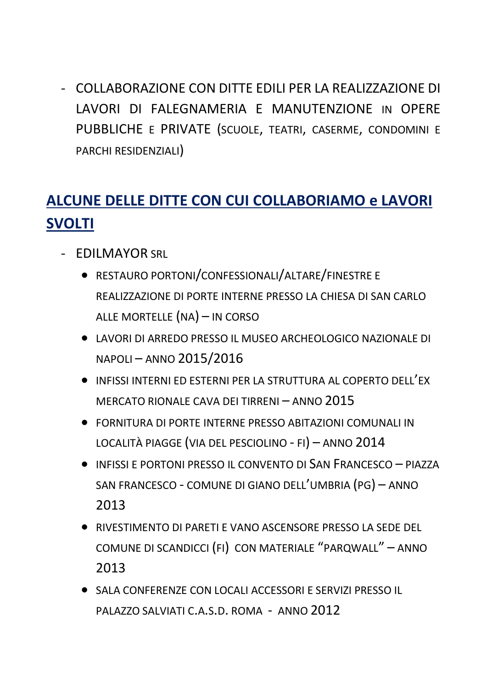- COLLABORAZIONE CON DITTE EDILI PER LA REALIZZAZIONE DI LAVORI DI FALEGNAMERIA E MANUTENZIONE IN OPERE PUBBLICHE E PRIVATE (SCUOLE, TEATRI, CASERME, CONDOMINI E PARCHI RESIDENZIALI)

# **ALCUNE DELLE DITTE CON CUI COLLABORIAMO e LAVORI SVOLTI**

- EDILMAYOR SRL
	- RESTAURO PORTONI/CONFESSIONALI/ALTARE/FINESTRE E REALIZZAZIONE DI PORTE INTERNE PRESSO LA CHIESA DI SAN CARLO ALLE MORTELLE (NA) – IN CORSO
	- LAVORI DI ARREDO PRESSO IL MUSEO ARCHEOLOGICO NAZIONALE DI NAPOLI – ANNO 2015/2016
	- INFISSI INTERNI ED ESTERNI PER LA STRUTTURA AL COPERTO DELL'EX MERCATO RIONALE CAVA DEI TIRRENI – ANNO 2015
	- FORNITURA DI PORTE INTERNE PRESSO ABITAZIONI COMUNALI IN LOCALITÀ PIAGGE (VIA DEL PESCIOLINO - FI) – ANNO 2014
	- INFISSI E PORTONI PRESSO IL CONVENTO DI SAN FRANCESCO PIAZZA SAN FRANCESCO - COMUNE DI GIANO DELL'UMBRIA (PG) – ANNO 2013
	- RIVESTIMENTO DI PARETI E VANO ASCENSORE PRESSO LA SEDE DEL COMUNE DI SCANDICCI (FI) CON MATERIALE "PARQWALL" – ANNO 2013
	- SALA CONFERENZE CON LOCALI ACCESSORI E SERVIZI PRESSO IL PALAZZO SALVIATI C.A.S.D. ROMA - ANNO 2012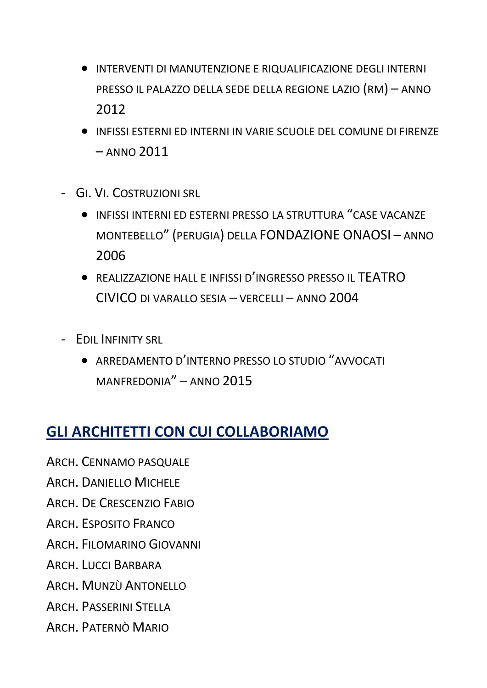- INTERVENTI DI MANUTENZIONE E RIQUALIFICAZIONE DEGLI INTERNI PRESSO IL PALAZZO DELLA SEDE DELLA REGIONE LAZIO (RM) – ANNO 2012
- INFISSI ESTERNI ED INTERNI IN VARIE SCUOLE DEL COMUNE DI FIRENZE – ANNO 2011
- GI. VI. COSTRUZIONI SRL
	- INFISSI INTERNI ED ESTERNI PRESSO LA STRUTTURA "CASE VACANZE MONTEBELLO" (PERUGIA) DELLA FONDAZIONE ONAOSI – ANNO 2006
	- REALIZZAZIONE HALL E INFISSI D'INGRESSO PRESSO IL TEATRO CIVICO DI VARALLO SESIA – VERCELLI – ANNO 2004
- EDIL INFINITY SRL
	- ARREDAMENTO D'INTERNO PRESSO LO STUDIO "AVVOCATI MANFREDONIA" – ANNO 2015

### **GLI ARCHITETTI CON CUI COLLABORIAMO**

ARCH. CENNAMO PASQUALE

ARCH. DANIELLO MICHELE

ARCH. DE CRESCENZIO FABIO

ARCH. ESPOSITO FRANCO

ARCH. FILOMARINO GIOVANNI

ARCH. LUCCI BARBARA

ARCH. MUNZÙ ANTONELLO

ARCH. PASSERINI STELLA

ARCH. PATERNÒ MARIO